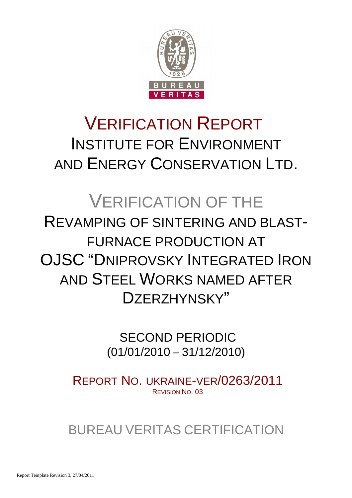

# VERIFICATION REPORT INSTITUTE FOR ENVIRONMENT AND ENERGY CONSERVATION LTD.

# VERIFICATION OF THE REVAMPING OF SINTERING AND BLAST-FURNACE PRODUCTION AT OJSC "DNIPROVSKY INTEGRATED IRON AND STEEL WORKS NAMED AFTER DZERZHYNSKY"

 SECOND PERIODIC (01/01/2010 – 31/12/2010)

REPORT NO. UKRAINE-VER/0263/2011 REVISION NO. 03

BUREAU VERITAS CERTIFICATION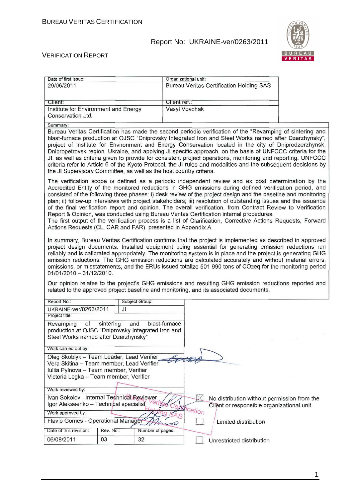

#### VERIFICATION REPORT

| Date of first issue:                                                                                                                                                                                                                                                                                                                                                                                                                                                                                                                                                                                                                                                                                                                                                                                                                                                                                                                                                                                                                                                                                                                                                                                                                                                                                                                                                                                                                                                                                                                               |                  | Organizational unit: |          |                                                 |                                             |  |
|----------------------------------------------------------------------------------------------------------------------------------------------------------------------------------------------------------------------------------------------------------------------------------------------------------------------------------------------------------------------------------------------------------------------------------------------------------------------------------------------------------------------------------------------------------------------------------------------------------------------------------------------------------------------------------------------------------------------------------------------------------------------------------------------------------------------------------------------------------------------------------------------------------------------------------------------------------------------------------------------------------------------------------------------------------------------------------------------------------------------------------------------------------------------------------------------------------------------------------------------------------------------------------------------------------------------------------------------------------------------------------------------------------------------------------------------------------------------------------------------------------------------------------------------------|------------------|----------------------|----------|-------------------------------------------------|---------------------------------------------|--|
| 29/06/2011                                                                                                                                                                                                                                                                                                                                                                                                                                                                                                                                                                                                                                                                                                                                                                                                                                                                                                                                                                                                                                                                                                                                                                                                                                                                                                                                                                                                                                                                                                                                         |                  |                      |          | <b>Bureau Veritas Certification Holding SAS</b> |                                             |  |
|                                                                                                                                                                                                                                                                                                                                                                                                                                                                                                                                                                                                                                                                                                                                                                                                                                                                                                                                                                                                                                                                                                                                                                                                                                                                                                                                                                                                                                                                                                                                                    |                  |                      |          |                                                 |                                             |  |
| Client:                                                                                                                                                                                                                                                                                                                                                                                                                                                                                                                                                                                                                                                                                                                                                                                                                                                                                                                                                                                                                                                                                                                                                                                                                                                                                                                                                                                                                                                                                                                                            |                  | Client ref.:         |          |                                                 |                                             |  |
| Institute for Environment and Energy                                                                                                                                                                                                                                                                                                                                                                                                                                                                                                                                                                                                                                                                                                                                                                                                                                                                                                                                                                                                                                                                                                                                                                                                                                                                                                                                                                                                                                                                                                               |                  | Vasyl Vovchak        |          |                                                 |                                             |  |
| Conservation Ltd.                                                                                                                                                                                                                                                                                                                                                                                                                                                                                                                                                                                                                                                                                                                                                                                                                                                                                                                                                                                                                                                                                                                                                                                                                                                                                                                                                                                                                                                                                                                                  |                  |                      |          |                                                 |                                             |  |
| Summary:                                                                                                                                                                                                                                                                                                                                                                                                                                                                                                                                                                                                                                                                                                                                                                                                                                                                                                                                                                                                                                                                                                                                                                                                                                                                                                                                                                                                                                                                                                                                           |                  |                      |          |                                                 |                                             |  |
| Bureau Veritas Certification has made the second periodic verification of the "Revamping of sintering and<br>blast-furnace production at OJSC "Dniprovsky Integrated Iron and Steel Works named after Dzerzhynsky",<br>project of Institute for Environment and Energy Conservation located in the city of Dniprodzerzhynsk,<br>Dnipropetrovsk region, Ukraine, and applying JI specific approach, on the basis of UNFCCC criteria for the<br>JI, as well as criteria given to provide for consistent project operations, monitoring and reporting. UNFCCC<br>criteria refer to Article 6 of the Kyoto Protocol, the JI rules and modalities and the subsequent decisions by<br>the JI Supervisory Committee, as well as the host country criteria.                                                                                                                                                                                                                                                                                                                                                                                                                                                                                                                                                                                                                                                                                                                                                                                                |                  |                      |          |                                                 |                                             |  |
| The verification scope is defined as a periodic independent review and ex post determination by the<br>Accredited Entity of the monitored reductions in GHG emissions during defined verification period, and<br>consisted of the following three phases: i) desk review of the project design and the baseline and monitoring<br>plan; ii) follow-up interviews with project stakeholders; iii) resolution of outstanding issues and the issuance<br>of the final verification report and opinion. The overall verification, from Contract Review to Verification<br>Report & Opinion, was conducted using Bureau Veritas Certification internal procedures.<br>The first output of the verification process is a list of Clarification, Corrective Actions Requests, Forward<br>Actions Requests (CL, CAR and FAR), presented in Appendix A.<br>In summary, Bureau Veritas Certification confirms that the project is implemented as described in approved<br>project design documents. Installed equipment being essential for generating emission reductions run<br>reliably and is calibrated appropriately. The monitoring system is in place and the project is generating GHG<br>emission reductions. The GHG emission reductions are calculated accurately and without material errors,<br>omissions, or misstatements, and the ERUs issued totalize 501 990 tons of CO2eq for the monitoring period<br>01/01/2010 - 31/12/2010.<br>Our opinion relates to the project's GHG emissions and resulting GHG emission reductions reported and |                  |                      |          |                                                 |                                             |  |
| related to the approved project baseline and monitoring, and its associated documents.                                                                                                                                                                                                                                                                                                                                                                                                                                                                                                                                                                                                                                                                                                                                                                                                                                                                                                                                                                                                                                                                                                                                                                                                                                                                                                                                                                                                                                                             |                  |                      |          |                                                 |                                             |  |
| Report No.:                                                                                                                                                                                                                                                                                                                                                                                                                                                                                                                                                                                                                                                                                                                                                                                                                                                                                                                                                                                                                                                                                                                                                                                                                                                                                                                                                                                                                                                                                                                                        | Subject Group:   |                      |          |                                                 |                                             |  |
| UKRAINE-ver/0263/2011<br>Project title:                                                                                                                                                                                                                                                                                                                                                                                                                                                                                                                                                                                                                                                                                                                                                                                                                                                                                                                                                                                                                                                                                                                                                                                                                                                                                                                                                                                                                                                                                                            | JI.              |                      |          |                                                 |                                             |  |
| of<br>Revamping<br>sintering                                                                                                                                                                                                                                                                                                                                                                                                                                                                                                                                                                                                                                                                                                                                                                                                                                                                                                                                                                                                                                                                                                                                                                                                                                                                                                                                                                                                                                                                                                                       | and              | blast-furnace        |          |                                                 |                                             |  |
| production at OJSC "Dniprovsky Integrated Iron and                                                                                                                                                                                                                                                                                                                                                                                                                                                                                                                                                                                                                                                                                                                                                                                                                                                                                                                                                                                                                                                                                                                                                                                                                                                                                                                                                                                                                                                                                                 |                  |                      |          |                                                 |                                             |  |
| Steel Works named after Dzerzhynsky"                                                                                                                                                                                                                                                                                                                                                                                                                                                                                                                                                                                                                                                                                                                                                                                                                                                                                                                                                                                                                                                                                                                                                                                                                                                                                                                                                                                                                                                                                                               |                  |                      |          |                                                 |                                             |  |
| Work carried out by:                                                                                                                                                                                                                                                                                                                                                                                                                                                                                                                                                                                                                                                                                                                                                                                                                                                                                                                                                                                                                                                                                                                                                                                                                                                                                                                                                                                                                                                                                                                               |                  |                      |          |                                                 |                                             |  |
|                                                                                                                                                                                                                                                                                                                                                                                                                                                                                                                                                                                                                                                                                                                                                                                                                                                                                                                                                                                                                                                                                                                                                                                                                                                                                                                                                                                                                                                                                                                                                    |                  |                      |          |                                                 |                                             |  |
| Oleg Skoblyk - Team Leader, Lead Verifier<br>Vera Skitina - Team member, Lead Verifier                                                                                                                                                                                                                                                                                                                                                                                                                                                                                                                                                                                                                                                                                                                                                                                                                                                                                                                                                                                                                                                                                                                                                                                                                                                                                                                                                                                                                                                             |                  |                      |          |                                                 |                                             |  |
| Iuliia Pylnova - Team member, Verifier                                                                                                                                                                                                                                                                                                                                                                                                                                                                                                                                                                                                                                                                                                                                                                                                                                                                                                                                                                                                                                                                                                                                                                                                                                                                                                                                                                                                                                                                                                             |                  |                      |          |                                                 |                                             |  |
| Victoria Legka - Team member, Verifier                                                                                                                                                                                                                                                                                                                                                                                                                                                                                                                                                                                                                                                                                                                                                                                                                                                                                                                                                                                                                                                                                                                                                                                                                                                                                                                                                                                                                                                                                                             |                  |                      |          |                                                 |                                             |  |
| Work reviewed by:                                                                                                                                                                                                                                                                                                                                                                                                                                                                                                                                                                                                                                                                                                                                                                                                                                                                                                                                                                                                                                                                                                                                                                                                                                                                                                                                                                                                                                                                                                                                  |                  |                      |          |                                                 |                                             |  |
| Ivan Sokolov - Internal Technical Reviewer                                                                                                                                                                                                                                                                                                                                                                                                                                                                                                                                                                                                                                                                                                                                                                                                                                                                                                                                                                                                                                                                                                                                                                                                                                                                                                                                                                                                                                                                                                         |                  |                      |          |                                                 | No distribution without permission from the |  |
| Igor Alekseenko - Technical specialist                                                                                                                                                                                                                                                                                                                                                                                                                                                                                                                                                                                                                                                                                                                                                                                                                                                                                                                                                                                                                                                                                                                                                                                                                                                                                                                                                                                                                                                                                                             |                  |                      |          |                                                 | Client or responsible organizational unit   |  |
| Work approved by:                                                                                                                                                                                                                                                                                                                                                                                                                                                                                                                                                                                                                                                                                                                                                                                                                                                                                                                                                                                                                                                                                                                                                                                                                                                                                                                                                                                                                                                                                                                                  |                  |                      | fication |                                                 |                                             |  |
| Flavio Gomes - Operational Manager                                                                                                                                                                                                                                                                                                                                                                                                                                                                                                                                                                                                                                                                                                                                                                                                                                                                                                                                                                                                                                                                                                                                                                                                                                                                                                                                                                                                                                                                                                                 |                  | 70                   |          | Limited distribution                            |                                             |  |
| Rev. No.:<br>Date of this revision:                                                                                                                                                                                                                                                                                                                                                                                                                                                                                                                                                                                                                                                                                                                                                                                                                                                                                                                                                                                                                                                                                                                                                                                                                                                                                                                                                                                                                                                                                                                | Number of pages: |                      |          |                                                 |                                             |  |
| 06/08/2011<br>03                                                                                                                                                                                                                                                                                                                                                                                                                                                                                                                                                                                                                                                                                                                                                                                                                                                                                                                                                                                                                                                                                                                                                                                                                                                                                                                                                                                                                                                                                                                                   | 32               |                      |          | Unrestricted distribution                       |                                             |  |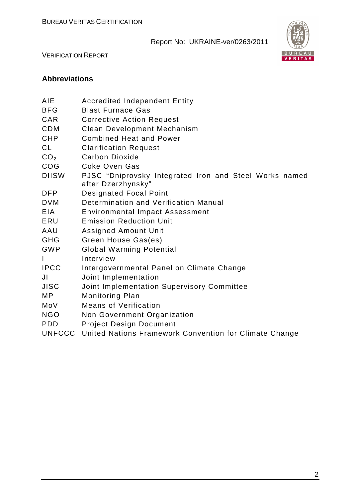

VERIFICATION REPORT

# **Abbreviations**

| AIE             | <b>Accredited Independent Entity</b>                                         |
|-----------------|------------------------------------------------------------------------------|
| <b>BFG</b>      | <b>Blast Furnace Gas</b>                                                     |
| <b>CAR</b>      | <b>Corrective Action Request</b>                                             |
| <b>CDM</b>      | <b>Clean Development Mechanism</b>                                           |
| <b>CHP</b>      | <b>Combined Heat and Power</b>                                               |
| <b>CL</b>       | <b>Clarification Request</b>                                                 |
| CO <sub>2</sub> | Carbon Dioxide                                                               |
| COG             | Coke Oven Gas                                                                |
| <b>DIISW</b>    | PJSC "Dniprovsky Integrated Iron and Steel Works named<br>after Dzerzhynsky" |
| <b>DFP</b>      | <b>Designated Focal Point</b>                                                |
| <b>DVM</b>      | Determination and Verification Manual                                        |
| <b>EIA</b>      | <b>Environmental Impact Assessment</b>                                       |
| ERU             | <b>Emission Reduction Unit</b>                                               |
| AAU             | <b>Assigned Amount Unit</b>                                                  |
| <b>GHG</b>      | Green House Gas(es)                                                          |
| <b>GWP</b>      | <b>Global Warming Potential</b>                                              |
| I               | Interview                                                                    |
| <b>IPCC</b>     | Intergovernmental Panel on Climate Change                                    |
| JI              | Joint Implementation                                                         |
| <b>JISC</b>     | Joint Implementation Supervisory Committee                                   |
| <b>MP</b>       | <b>Monitoring Plan</b>                                                       |
| MoV             | <b>Means of Verification</b>                                                 |
| <b>NGO</b>      | Non Government Organization                                                  |
| <b>PDD</b>      | <b>Project Design Document</b>                                               |
| <b>UNFCCC</b>   | United Nations Framework Convention for Climate Change                       |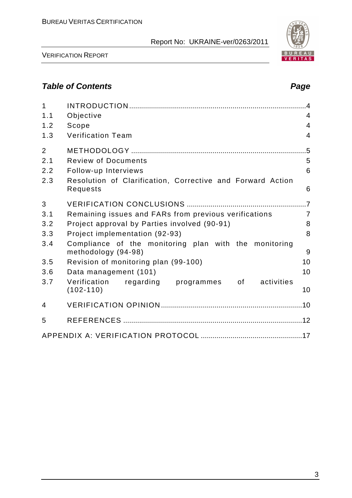

# **Table of Contents Page 2018**

| $\mathbf{1}$   |                                                                              |                |
|----------------|------------------------------------------------------------------------------|----------------|
| 1.1            | Objective                                                                    | 4              |
| 1.2            | Scope                                                                        | $\overline{4}$ |
| 1.3            | <b>Verification Team</b>                                                     | $\overline{4}$ |
| $\overline{2}$ |                                                                              | .5             |
| 2.1            | <b>Review of Documents</b>                                                   | 5              |
| 2.2            | Follow-up Interviews                                                         | 6              |
| 2.3            | Resolution of Clarification, Corrective and Forward Action<br>Requests       | 6              |
| 3              |                                                                              |                |
| 3.1            | Remaining issues and FARs from previous verifications                        | $\overline{7}$ |
| 3.2            | Project approval by Parties involved (90-91)                                 | 8              |
| 3.3            | Project implementation (92-93)                                               | 8              |
| 3.4            | Compliance of the monitoring plan with the monitoring<br>methodology (94-98) | 9              |
| 3.5            | Revision of monitoring plan (99-100)                                         | 10             |
| 3.6            | Data management (101)                                                        | 10             |
| 3.7            | Verification<br>activities<br>regarding programmes of<br>$(102 - 110)$       | 10             |
| $\overline{4}$ |                                                                              |                |
| 5              |                                                                              |                |
|                |                                                                              |                |

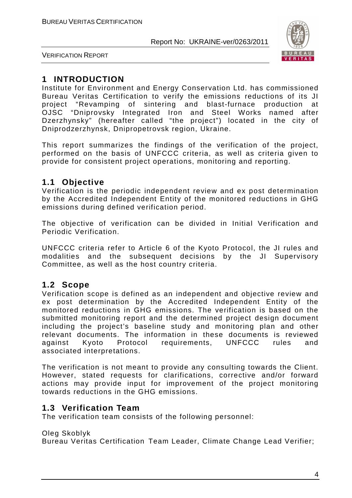

VERIFICATION REPORT

# **1 INTRODUCTION**

Institute for Environment and Energy Conservation Ltd. has commissioned Bureau Veritas Certification to verify the emissions reductions of its JI project "Revamping of sintering and blast-furnace production at OJSC "Dniprovsky Integrated Iron and Steel Works named after Dzerzhynsky" (hereafter called "the project") located in the city of Dniprodzerzhynsk, Dnipropetrovsk region, Ukraine.

This report summarizes the findings of the verification of the project, performed on the basis of UNFCCC criteria, as well as criteria given to provide for consistent project operations, monitoring and reporting.

# **1.1 Objective**

Verification is the periodic independent review and ex post determination by the Accredited Independent Entity of the monitored reductions in GHG emissions during defined verification period.

The objective of verification can be divided in Initial Verification and Periodic Verification.

UNFCCC criteria refer to Article 6 of the Kyoto Protocol, the JI rules and modalities and the subsequent decisions by the JI Supervisory Committee, as well as the host country criteria.

# **1.2 Scope**

Verification scope is defined as an independent and objective review and ex post determination by the Accredited Independent Entity of the monitored reductions in GHG emissions. The verification is based on the submitted monitoring report and the determined project design document including the project's baseline study and monitoring plan and other relevant documents. The information in these documents is reviewed against Kyoto Protocol requirements, UNFCCC rules and associated interpretations.

The verification is not meant to provide any consulting towards the Client. However, stated requests for clarifications, corrective and/or forward actions may provide input for improvement of the project monitoring towards reductions in the GHG emissions.

# **1.3 Verification Team**

The verification team consists of the following personnel:

#### Oleg Skoblyk

Bureau Veritas Certification Team Leader, Climate Change Lead Verifier;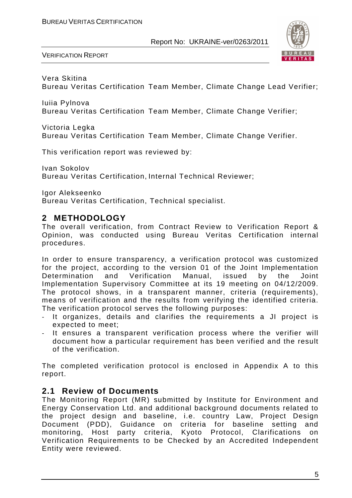

VERIFICATION REPORT

# Vera Skitina

Bureau Veritas Certification Team Member, Climate Change Lead Verifier;

Iuiia Pylnova Bureau Veritas Certification Team Member, Climate Change Verifier;

Victoria Legka

Bureau Veritas Certification Team Member, Climate Change Verifier.

This verification report was reviewed by:

Ivan Sokolov Bureau Veritas Certification, Internal Technical Reviewer;

Igor Alekseenko

Bureau Veritas Certification, Technical specialist.

# **2 METHODOLOGY**

The overall verification, from Contract Review to Verification Report & Opinion, was conducted using Bureau Veritas Certification internal procedures.

In order to ensure transparency, a verification protocol was customized for the project, according to the version 01 of the Joint Implementation Determination and Verification Manual, issued by the Joint Implementation Supervisory Committee at its 19 meeting on 04/12/2009. The protocol shows, in a transparent manner, criteria (requirements), means of verification and the results from verifying the identified criteria. The verification protocol serves the following purposes:

- It organizes, details and clarifies the requirements a JI project is expected to meet;
- It ensures a transparent verification process where the verifier will document how a particular requirement has been verified and the result of the verification.

The completed verification protocol is enclosed in Appendix A to this report.

# **2.1 Review of Documents**

The Monitoring Report (MR) submitted by Institute for Environment and Energy Conservation Ltd. and additional background documents related to the project design and baseline, i.e. country Law, Project Design Document (PDD), Guidance on criteria for baseline setting and monitoring, Host party criteria, Kyoto Protocol, Clarifications on Verification Requirements to be Checked by an Accredited Independent Entity were reviewed.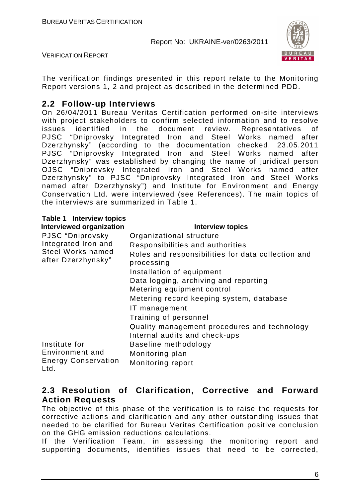

VERIFICATION REPORT

The verification findings presented in this report relate to the Monitoring Report versions 1, 2 and project as described in the determined PDD.

## **2.2 Follow-up Interviews**

On 26/04/2011 Bureau Veritas Certification performed on-site interviews with project stakeholders to confirm selected information and to resolve issues identified in the document review. Representatives of PJSC "Dniprovsky Integrated Iron and Steel Works named after Dzerzhynsky" (according to the documentation checked, 23.05.2011 PJSC "Dniprovsky Integrated Iron and Steel Works named after Dzerzhynsky" was established by changing the name of juridical person OJSC "Dniprovsky Integrated Iron and Steel Works named after Dzerzhynsky" to PJSC "Dniprovsky Integrated Iron and Steel Works named after Dzerzhynsky") and Institute for Environment and Energy Conservation Ltd. were interviewed (see References). The main topics of the interviews are summarized in Table 1.

| Table 1 Interview topics                |                                                                               |
|-----------------------------------------|-------------------------------------------------------------------------------|
| <b>Interviewed organization</b>         | <b>Interview topics</b>                                                       |
| PJSC "Dniprovsky                        | Organizational structure                                                      |
| Integrated Iron and                     | Responsibilities and authorities                                              |
| Steel Works named<br>after Dzerzhynsky" | Roles and responsibilities for data collection and<br>processing              |
|                                         | Installation of equipment                                                     |
|                                         | Data logging, archiving and reporting                                         |
|                                         | Metering equipment control                                                    |
|                                         | Metering record keeping system, database                                      |
|                                         | IT management                                                                 |
|                                         | Training of personnel                                                         |
|                                         | Quality management procedures and technology<br>Internal audits and check-ups |
| Institute for                           | Baseline methodology                                                          |
| Environment and                         | Monitoring plan                                                               |
| <b>Energy Conservation</b><br>Ltd.      | Monitoring report                                                             |

### **2.3 Resolution of Clarification, Corrective and Forward Action Requests**

The objective of this phase of the verification is to raise the requests for corrective actions and clarification and any other outstanding issues that needed to be clarified for Bureau Veritas Certification positive conclusion on the GHG emission reductions calculations.

If the Verification Team, in assessing the monitoring report and supporting documents, identifies issues that need to be corrected,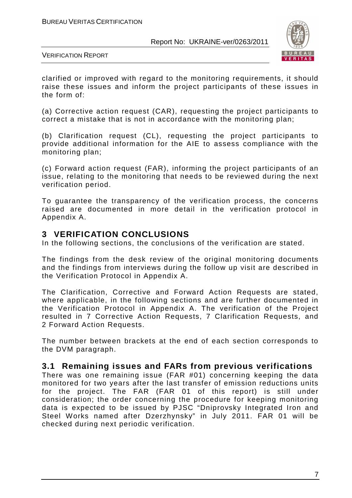

VERIFICATION REPORT

clarified or improved with regard to the monitoring requirements, it should raise these issues and inform the project participants of these issues in the form of:

(a) Corrective action request (CAR), requesting the project participants to correct a mistake that is not in accordance with the monitoring plan;

(b) Clarification request (CL), requesting the project participants to provide additional information for the AIE to assess compliance with the monitoring plan;

(c) Forward action request (FAR), informing the project participants of an issue, relating to the monitoring that needs to be reviewed during the next verification period.

To guarantee the transparency of the verification process, the concerns raised are documented in more detail in the verification protocol in Appendix A.

#### **3 VERIFICATION CONCLUSIONS**

In the following sections, the conclusions of the verification are stated.

The findings from the desk review of the original monitoring documents and the findings from interviews during the follow up visit are described in the Verification Protocol in Appendix A.

The Clarification, Corrective and Forward Action Requests are stated, where applicable, in the following sections and are further documented in the Verification Protocol in Appendix A. The verification of the Project resulted in 7 Corrective Action Requests, 7 Clarification Requests, and 2 Forward Action Requests.

The number between brackets at the end of each section corresponds to the DVM paragraph.

### **3.1 Remaining issues and FARs from previous verifications**

There was one remaining issue (FAR #01) concerning keeping the data monitored for two years after the last transfer of emission reductions units for the project. The FAR (FAR 01 of this report) is still under consideration; the order concerning the procedure for keeping monitoring data is expected to be issued by PJSC "Dniprovsky Integrated Iron and Steel Works named after Dzerzhynsky" in July 2011. FAR 01 will be checked during next periodic verification.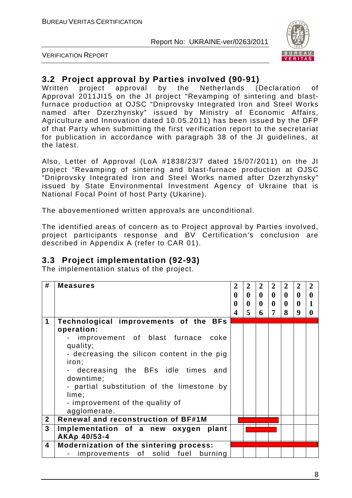

VERIFICATION REPORT

# **3.2 Project approval by Parties involved (90-91)**

Written project approval by the Netherlands (Declaration of Approval 2011JI15 on the JI project "Revamping of sintering and blastfurnace production at OJSC "Dniprovsky Integrated Iron and Steel Works named after Dzerzhynsky" issued by Ministry of Economic Affairs, Agriculture and Innovation dated 10.05.2011) has been issued by the DFP of that Party when submitting the first verification report to the secretariat for publication in accordance with paragraph 38 of the JI guidelines, at the latest.

Also, Letter of Approval (LoA #1838/23/7 dated 15/07/2011) on the JI project "Revamping of sintering and blast-furnace production at OJSC "Dniprovsky Integrated Iron and Steel Works named after Dzerzhynsky" issued by State Environmental Investment Agency of Ukraine that is National Focal Point of host Party (Ukarine).

The abovementioned written approvals are unconditional.

The identified areas of concern as to Project approval by Parties involved, project participants response and BV Certification's conclusion are described in Appendix A (refer to CAR 01).

# **3.3 Project implementation (92-93)**

The implementation status of the project.

| #            | <b>Measures</b>                                                                                                                                                                                                                                                                                               | $\overline{2}$<br>$\mathbf{0}$<br>$\boldsymbol{0}$ | $\overline{2}$<br>$\mathbf{0}$<br>0 | $\mathbf{2}$<br>$\mathbf{0}$<br>$\mathbf{0}$ | $\overline{2}$<br>$\mathbf{0}$<br>$\mathbf{0}$ | $\overline{2}$<br>$\mathbf{0}$<br>$\mathbf{0}$ | $\overline{2}$<br>0<br>$\mathbf{0}$ | $\overline{2}$<br>$\mathbf 0$<br>$\mathbf{1}$ |
|--------------|---------------------------------------------------------------------------------------------------------------------------------------------------------------------------------------------------------------------------------------------------------------------------------------------------------------|----------------------------------------------------|-------------------------------------|----------------------------------------------|------------------------------------------------|------------------------------------------------|-------------------------------------|-----------------------------------------------|
|              |                                                                                                                                                                                                                                                                                                               | $\overline{\mathbf{4}}$                            | 5                                   | 6                                            | $\overline{7}$                                 | 8                                              | 9                                   | $\boldsymbol{0}$                              |
| 1            | Technological improvements of the BFs<br>operation:<br>improvement of blast furnace coke<br>quality;<br>- decreasing the silicon content in the pig<br>iron;<br>- decreasing the BFs idle times<br>and<br>downtime;<br>- partial substitution of the limestone by<br>lime;<br>- improvement of the quality of |                                                    |                                     |                                              |                                                |                                                |                                     |                                               |
|              | agglomerate.                                                                                                                                                                                                                                                                                                  |                                                    |                                     |                                              |                                                |                                                |                                     |                                               |
| $\mathbf{2}$ | Renewal and reconstruction of BF#1M                                                                                                                                                                                                                                                                           |                                                    |                                     |                                              |                                                |                                                |                                     |                                               |
| 3            | Implementation of a new oxygen<br>plant<br>AKAp 40/53-4                                                                                                                                                                                                                                                       |                                                    |                                     |                                              |                                                |                                                |                                     |                                               |
| 4            | <b>Modernization of the sintering process:</b><br>improvements of<br>solid<br>fuel<br>burning                                                                                                                                                                                                                 |                                                    |                                     |                                              |                                                |                                                |                                     |                                               |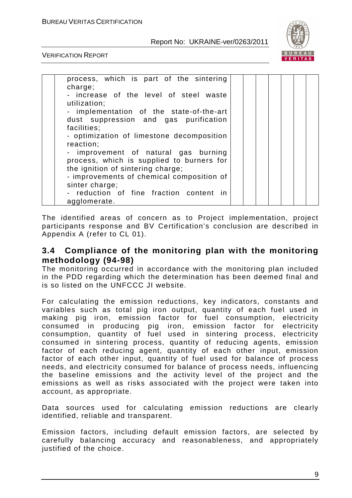

VERIFICATION REPORT

| process, which is part of the sintering<br>charge; |  |  |  |
|----------------------------------------------------|--|--|--|
| - increase of the level of steel waste             |  |  |  |
| utilization;                                       |  |  |  |
| - implementation of the state-of-the-art           |  |  |  |
| dust suppression and gas purification              |  |  |  |
| facilities;                                        |  |  |  |
| - optimization of limestone decomposition          |  |  |  |
| reaction;                                          |  |  |  |
| - improvement of natural gas burning               |  |  |  |
| process, which is supplied to burners for          |  |  |  |
| the ignition of sintering charge;                  |  |  |  |
| - improvements of chemical composition of          |  |  |  |
| sinter charge;                                     |  |  |  |
| - reduction of fine fraction content in            |  |  |  |
| agglomerate.                                       |  |  |  |

The identified areas of concern as to Project implementation, project participants response and BV Certification's conclusion are described in Appendix A (refer to CL 01).

### **3.4 Compliance of the monitoring plan with the monitoring methodology (94-98)**

The monitoring occurred in accordance with the monitoring plan included in the PDD regarding which the determination has been deemed final and is so listed on the UNFCCC JI website.

For calculating the emission reductions, key indicators, constants and variables such as total pig iron output, quantity of each fuel used in making pig iron, emission factor for fuel consumption, electricity consumed in producing pig iron, emission factor for electricity consumption, quantity of fuel used in sintering process, electricity consumed in sintering process, quantity of reducing agents, emission factor of each reducing agent, quantity of each other input, emission factor of each other input, quantity of fuel used for balance of process needs, and electricity consumed for balance of process needs, influencing the baseline emissions and the activity level of the project and the emissions as well as risks associated with the project were taken into account, as appropriate.

Data sources used for calculating emission reductions are clearly identified, reliable and transparent.

Emission factors, including default emission factors, are selected by carefully balancing accuracy and reasonableness, and appropriately justified of the choice.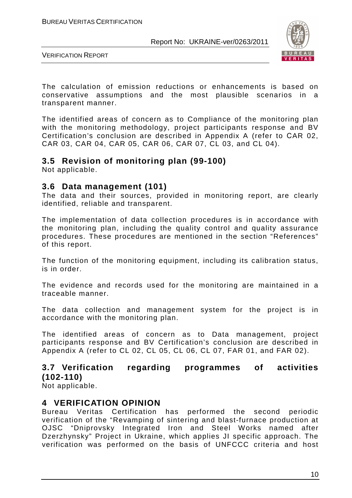

VERIFICATION REPORT

The calculation of emission reductions or enhancements is based on conservative assumptions and the most plausible scenarios in a transparent manner.

The identified areas of concern as to Compliance of the monitoring plan with the monitoring methodology, project participants response and BV Certification's conclusion are described in Appendix A (refer to СAR 02, CAR 03, CAR 04, CAR 05, CAR 06, CAR 07, CL 03, and CL 04).

#### **3.5 Revision of monitoring plan (99-100)**

Not applicable.

#### **3.6 Data management (101)**

The data and their sources, provided in monitoring report, are clearly identified, reliable and transparent.

The implementation of data collection procedures is in accordance with the monitoring plan, including the quality control and quality assurance procedures. These procedures are mentioned in the section "References" of this report.

The function of the monitoring equipment, including its calibration status, is in order.

The evidence and records used for the monitoring are maintained in a traceable manner.

The data collection and management system for the project is in accordance with the monitoring plan.

The identified areas of concern as to Data management, project participants response and BV Certification's conclusion are described in Appendix A (refer to CL 02, CL 05, CL 06, CL 07, FAR 01, and FAR 02).

# **3.7 Verification regarding programmes of activities (102-110)**

Not applicable.

### **4 VERIFICATION OPINION**

Bureau Veritas Certification has performed the second periodic verification of the "Revamping of sintering and blast-furnace production at OJSC "Dniprovsky Integrated Iron and Steel Works named after Dzerzhynsky" Project in Ukraine, which applies JI specific approach. The verification was performed on the basis of UNFCCC criteria and host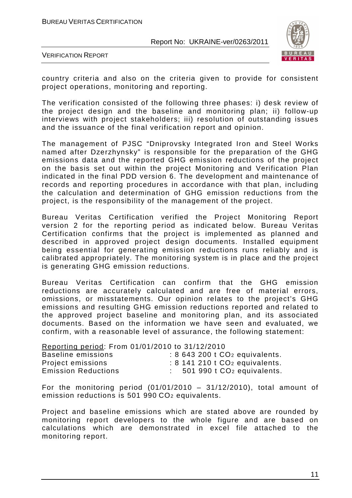

VERIFICATION REPORT

country criteria and also on the criteria given to provide for consistent project operations, monitoring and reporting.

The verification consisted of the following three phases: i) desk review of the project design and the baseline and monitoring plan; ii) follow-up interviews with project stakeholders; iii) resolution of outstanding issues and the issuance of the final verification report and opinion.

The management of PJSC "Dniprovsky Integrated Iron and Steel Works named after Dzerzhynsky" is responsible for the preparation of the GHG emissions data and the reported GHG emission reductions of the project on the basis set out within the project Monitoring and Verification Plan indicated in the final PDD version 6. The development and maintenance of records and reporting procedures in accordance with that plan, including the calculation and determination of GHG emission reductions from the project, is the responsibility of the management of the project.

Bureau Veritas Certification verified the Project Monitoring Report version 2 for the reporting period as indicated below. Bureau Veritas Certification confirms that the project is implemented as planned and described in approved project design documents. Installed equipment being essential for generating emission reductions runs reliably and is calibrated appropriately. The monitoring system is in place and the project is generating GHG emission reductions.

Bureau Veritas Certification can confirm that the GHG emission reductions are accurately calculated and are free of material errors, omissions, or misstatements. Our opinion relates to the project's GHG emissions and resulting GHG emission reductions reported and related to the approved project baseline and monitoring plan, and its associated documents. Based on the information we have seen and evaluated, we confirm, with a reasonable level of assurance, the following statement:

| Reporting period: From 01/01/2010 to 31/12/2010 |                                        |
|-------------------------------------------------|----------------------------------------|
| Baseline emissions                              | $: 8643200$ t $CO2$ equivalents.       |
| Project emissions                               | $: 8$ 141 210 t $CO2$ equivalents.     |
| <b>Emission Reductions</b>                      | 501 990 t CO <sub>2</sub> equivalents. |

For the monitoring period  $(01/01/2010 - 31/12/2010)$ , total amount of emission reductions is 501 990 CO2 equivalents.

Project and baseline emissions which are stated above are rounded by monitoring report developers to the whole figure and are based on calculations which are demonstrated in excel file attached to the monitoring report.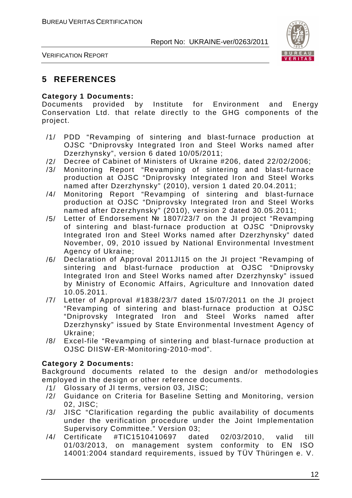

VERIFICATION REPORT

# **5 REFERENCES**

#### **Category 1 Documents:**

Documents provided by Institute for Environment and Energy Conservation Ltd. that relate directly to the GHG components of the project.

- /1/ PDD "Revamping of sintering and blast-furnace production at OJSC "Dniprovsky Integrated Iron and Steel Works named after Dzerzhynsky", version 6 dated 10/05/2011;
- /2/ Decree of Cabinet of Ministers of Ukraine #206, dated 22/02/2006;
- /3/ Monitoring Report "Revamping of sintering and blast-furnace production at OJSC "Dniprovsky Integrated Iron and Steel Works named after Dzerzhynsky" (2010), version 1 dated 20.04.2011;
- /4/ Monitoring Report "Revamping of sintering and blast-furnace production at OJSC "Dniprovsky Integrated Iron and Steel Works named after Dzerzhynsky" (2010), version 2 dated 30.05.2011;
- /5/ Letter of Endorsement № 1807/23/7 on the JI project "Revamping of sintering and blast-furnace production at OJSC "Dniprovsky Integrated Iron and Steel Works named after Dzerzhynsky" dated November, 09, 2010 issued by National Environmental Investment Agency of Ukraine;
- /6/ Declaration of Approval 2011JI15 on the JI project "Revamping of sintering and blast-furnace production at OJSC "Dniprovsky Integrated Iron and Steel Works named after Dzerzhynsky" issued by Ministry of Economic Affairs, Agriculture and Innovation dated 10.05.2011.
- /7/ Letter of Approval #1838/23/7 dated 15/07/2011 on the JI project "Revamping of sintering and blast-furnace production at OJSC "Dniprovsky Integrated Iron and Steel Works named after Dzerzhynsky" issued by State Environmental Investment Agency of Ukraine;
- /8/ Excel-file "Revamping of sintering and blast-furnace production at OJSC DIISW-ER-Monitoring-2010-mod".

#### **Category 2 Documents:**

Background documents related to the design and/or methodologies employed in the design or other reference documents.

- /1/ Glossary of JI terms, version 03, JISC;
- /2/ Guidance on Criteria for Baseline Setting and Monitoring, version 02, JISC;
- /3/ JISC "Clarification regarding the public availability of documents under the verification procedure under the Joint Implementation Supervisory Committee." Version 03;
- /4/ Certificate #TIC1510410697 dated 02/03/2010, valid till 01/03/2013, on management system conformity to EN ISO 14001:2004 standard requirements, issued by TÜV Thüringen e. V.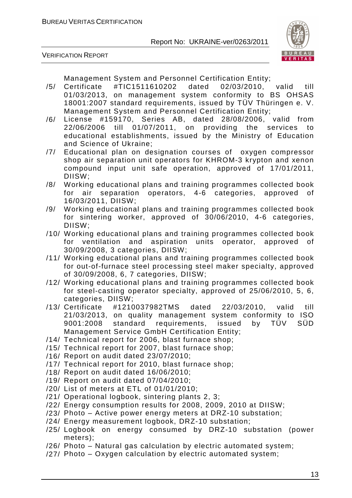

VERIFICATION REPORT

Management System and Personnel Certification Entity;

- /5/ Certificate #TIC1511610202 dated 02/03/2010, valid till 01/03/2013, on management system conformity to BS OHSAS 18001:2007 standard requirements, issued by TÜV Thüringen e. V. Management System and Personnel Certification Entity;
- /6/ License #159170, Series AB, dated 28/08/2006, valid from 22/06/2006 till 01/07/2011, on providing the services to educational establishments, issued by the Ministry of Education and Science of Ukraine;
- /7/ Educational plan on designation courses of oxygen compressor shop air separation unit operators for KHROM-3 krypton and xenon compound input unit safe operation, approved of 17/01/2011, DIISW;
- /8/ Working educational plans and training programmes collected book for air separation operators, 4-6 categories, approved of 16/03/2011, DIISW;
- /9/ Working educational plans and training programmes collected book for sintering worker, approved of 30/06/2010, 4-6 categories, DIISW;
- /10/ Working educational plans and training programmes collected book for ventilation and aspiration units operator, approved of 30/09/2008, 3 categories, DIISW;
- /11/ Working educational plans and training programmes collected book for out-of-furnace steel processing steel maker specialty, approved of 30/09/2008, 6, 7 categories, DIISW;
- /12/ Working educational plans and training programmes collected book for steel-casting operator specialty, approved of 25/06/2010, 5, 6, categories, DIISW;
- /13/ Certificate #1210037982TMS dated 22/03/2010, valid till 21/03/2013, on quality management system conformity to ISO 9001:2008 standard requirements, issued by TÜV SÜD Management Service GmbH Certification Entity;
- /14/ Technical report for 2006, blast furnace shop;
- /15/ Technical report for 2007, blast furnace shop;
- /16/ Report on audit dated 23/07/2010;
- /17/ Technical report for 2010, blast furnace shop;
- /18/ Report on audit dated 16/06/2010;
- /19/ Report on audit dated 07/04/2010;
- /20/ List of meters at ETL of 01/01/2010;
- /21/ Operational logbook, sintering plants 2, 3;
- /22/ Energy consumption results for 2008, 2009, 2010 at DIISW;
- /23/ Photo Active power energy meters at DRZ-10 substation;
- /24/ Energy measurement logbook, DRZ-10 substation;
- /25/ Logbook on energy consumed by DRZ-10 substation (power meters);
- /26/ Photo Natural gas calculation by electric automated system;
- /27/ Photo Oxygen calculation by electric automated system;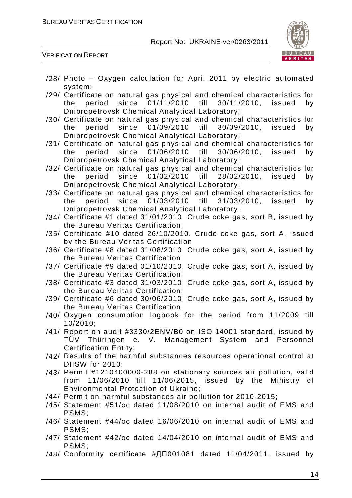

VERIFICATION REPORT

- /28/ Photo Oxygen calculation for April 2011 by electric automated system;
- /29/ Certificate on natural gas physical and chemical characteristics for the period since 01/11/2010 till 30/11/2010, issued by Dnipropetrovsk Chemical Analytical Laboratory;
- /30/ Certificate on natural gas physical and chemical characteristics for the period since 01/09/2010 till 30/09/2010, issued by Dnipropetrovsk Chemical Analytical Laboratory;
- /31/ Certificate on natural gas physical and chemical characteristics for the period since 01/06/2010 till 30/06/2010, issued by Dnipropetrovsk Chemical Analytical Laboratory;
- /32/ Certificate on natural gas physical and chemical characteristics for the period since 01/02/2010 till 28/02/2010, issued by Dnipropetrovsk Chemical Analytical Laboratory;
- /33/ Certificate on natural gas physical and chemical characteristics for the period since 01/03/2010 till 31/03/2010, issued by Dnipropetrovsk Chemical Analytical Laboratory;
- /34/ Certificate #1 dated 31/01/2010. Crude coke gas, sort B, issued by the Bureau Veritas Certification;
- /35/ Certificate #10 dated 26/10/2010. Crude coke gas, sort A, issued by the Bureau Veritas Certification
- /36/ Certificate #8 dated 31/08/2010. Crude coke gas, sort A, issued by the Bureau Veritas Certification;
- /37/ Certificate #9 dated 01/10/2010. Crude coke gas, sort A, issued by the Bureau Veritas Certification;
- /38/ Certificate #3 dated 31/03/2010. Crude coke gas, sort A, issued by the Bureau Veritas Certification;
- /39/ Certificate #6 dated 30/06/2010. Crude coke gas, sort A, issued by the Bureau Veritas Certification;
- /40/ Oxygen consumption logbook for the period from 11/2009 till 10/2010;
- /41/ Report on audit #3330/2ENV/B0 on ISO 14001 standard, issued by TÜV Thüringen e. V. Management System and Personnel Certification Entity;
- /42/ Results of the harmful substances resources operational control at DIISW for 2010;
- /43/ Permit #1210400000-288 on stationary sources air pollution, valid from 11/06/2010 till 11/06/2015, issued by the Ministry of Environmental Protection of Ukraine;
- /44/ Permit on harmful substances air pollution for 2010-2015;
- /45/ Statement #51/ос dated 11/08/2010 on internal audit of EMS and PSMS;
- /46/ Statement #44/ос dated 16/06/2010 on internal audit of EMS and PSMS;
- /47/ Statement #42/ос dated 14/04/2010 on internal audit of EMS and PSMS;
- /48/ Conformity certificate #ДП001081 dated 11/04/2011, issued by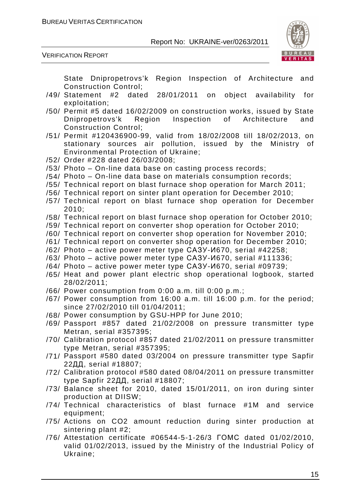



State Dnipropetrovs'k Region Inspection of Architecture and Construction Control;

- /49/ Statement #2 dated 28/01/2011 on object availability for exploitation;
- /50/ Permit #5 dated 16/02/2009 on construction works, issued by State Dnipropetrovs'k Region Inspection of Architecture and Construction Control;
- /51/ Permit #120436900-99, valid from 18/02/2008 till 18/02/2013, on stationary sources air pollution, issued by the Ministry of Environmental Protection of Ukraine;
- /52/ Order #228 dated 26/03/2008;
- /53/ Photo On-line data base on casting process records;
- /54/ Photo On-line data base on materials consumption records;
- /55/ Technical report on blast furnace shop operation for March 2011;
- /56/ Technical report on sinter plant operation for December 2010;
- /57/ Technical report on blast furnace shop operation for December 2010;
- /58/ Technical report on blast furnace shop operation for October 2010;
- /59/ Technical report on converter shop operation for October 2010;
- /60/ Technical report on converter shop operation for November 2010;
- /61/ Technical report on converter shop operation for December 2010;
- /62/ Photo active power meter type САЗУ-И670, serial #42258;
- /63/ Photo active power meter type САЗУ-И670, serial #111336;
- /64/ Photo active power meter type САЗУ-И670, serial #09739;
- /65/ Heat and power plant electric shop operational logbook, started 28/02/2011;
- /66/ Power consumption from 0:00 a.m. till 0:00 p.m.;
- /67/ Power consumption from 16:00 a.m. till 16:00 p.m. for the period; since 27/02/2010 till 01/04/2011;
- /68/ Power consumption by GSU-HPP for June 2010;
- /69/ Passport #857 dated 21/02/2008 on pressure transmitter type Metran, serial #357395;
- /70/ Calibration protocol #857 dated 21/02/2011 on pressure transmitter type Metran, serial #357395;
- /71/ Passport #580 dated 03/2004 on pressure transmitter type Sapfir 22ДД, serial #18807;
- /72/ Calibration protocol #580 dated 08/04/2011 on pressure transmitter type Sapfir 22ДД, serial #18807;
- /73/ Balance sheet for 2010, dated 15/01/2011, on iron during sinter production at DIISW;
- /74/ Technical characteristics of blast furnace #1M and service equipment;
- /75/ Actions on CO2 amount reduction during sinter production at sintering plant #2;
- /76/ Attestation certificate #06544-5-1-26/3 ГОМС dated 01/02/2010, valid 01/02/2013, issued by the Ministry of the Industrial Policy of Ukraine;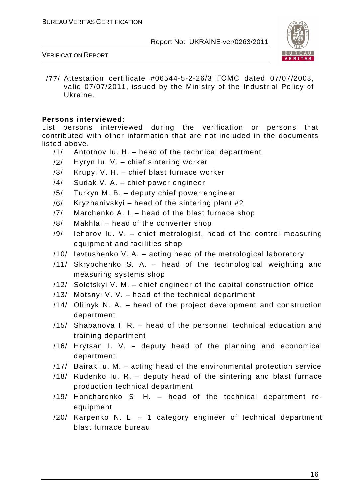

#### VERIFICATION REPORT

/77/ Attestation certificate #06544-5-2-26/3 ГОМС dated 07/07/2008, valid 07/07/2011, issued by the Ministry of the Industrial Policy of Ukraine.

#### **Persons interviewed:**

List persons interviewed during the verification or persons that contributed with other information that are not included in the documents listed above.

- /1/ Antotnov Iu. H. head of the technical department
- /2/ Hyryn Iu. V. chief sintering worker
- /3/ Krupyi V. H. chief blast furnace worker
- /4/ Sudak V. A. chief power engineer
- /5/ Turkyn M. B. deputy chief power engineer
- /6/ Kryzhanivskyi head of the sintering plant #2
- /7/ Marchenko A. I. head of the blast furnace shop
- /8/ Makhlai head of the converter shop
- /9/ Iehorov Iu. V. chief metrologist, head of the control measuring equipment and facilities shop
- /10/ Ievtushenko V. A. acting head of the metrological laboratory
- /11/ Skrypchenko S. A. head of the technological weighting and measuring systems shop
- /12/ Soletskyi V. M. chief engineer of the capital construction office
- /13/ Motsnyi V. V. head of the technical department
- /14/ Oliinyk N. A. head of the project development and construction department
- /15/ Shabanova I. R. head of the personnel technical education and training department
- /16/ Hrytsan I. V. deputy head of the planning and economical department
- /17/ Bairak Iu. M. acting head of the environmental protection service
- /18/ Rudenko Iu. R. deputy head of the sintering and blast furnace production technical department
- /19/ Honcharenko S. H. head of the technical department reequipment
- /20/ Karpenko N. L. 1 category engineer of technical department blast furnace bureau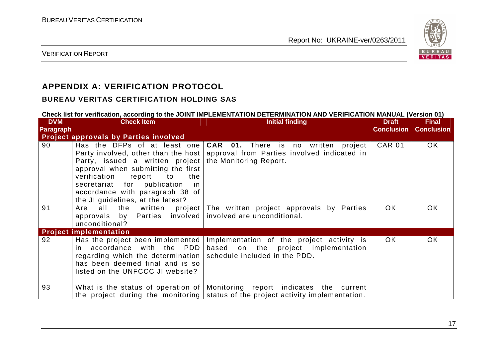

VERIFICATION REPORT

# **APPENDIX A: VERIFICATION PROTOCOL**

### **BUREAU VERITAS CERTIFICATION HOLDING SAS**

#### **Check list for verification, according to the JOINT IMPLEMENTATION DETERMINATION AND VERIFICATION MANUAL (Version 01)**

| <b>DVM</b>       | <b>Check Item</b>                                                                                                                                                                                                      | <b>Initial finding</b>                                                                                                                                                             | <b>Draft</b>      | <b>Final</b>      |
|------------------|------------------------------------------------------------------------------------------------------------------------------------------------------------------------------------------------------------------------|------------------------------------------------------------------------------------------------------------------------------------------------------------------------------------|-------------------|-------------------|
| <b>Paragraph</b> |                                                                                                                                                                                                                        |                                                                                                                                                                                    | <b>Conclusion</b> | <b>Conclusion</b> |
|                  | <b>Project approvals by Parties involved</b>                                                                                                                                                                           |                                                                                                                                                                                    |                   |                   |
| 90               | Party, issued a written project<br>approval when submitting the first<br>verification<br>report<br>to<br>the<br>secretariat for publication in<br>accordance with paragraph 38 of<br>the JI guidelines, at the latest? | Has the DFPs of at least one $ CAR$ 01. There is no written project<br>Party involved, other than the host   approval from Parties involved indicated in<br>the Monitoring Report. | <b>CAR 01</b>     | OK.               |
| 91               | Are<br>approvals by Parties involved involved are unconditional.<br>unconditional?                                                                                                                                     | all the written project The written project approvals by Parties                                                                                                                   | OK.               | <b>OK</b>         |
|                  | <b>Project implementation</b>                                                                                                                                                                                          |                                                                                                                                                                                    |                   |                   |
| 92               | accordance with the PDD<br>in l<br>regarding which the determination   schedule included in the PDD.<br>has been deemed final and is so<br>listed on the UNFCCC JI website?                                            | Has the project been implemented   Implementation of the project activity is<br>based on the project implementation                                                                | OK.               | <b>OK</b>         |
| 93               |                                                                                                                                                                                                                        | What is the status of operation of   Monitoring report indicates the current<br>the project during the monitoring status of the project activity implementation.                   |                   |                   |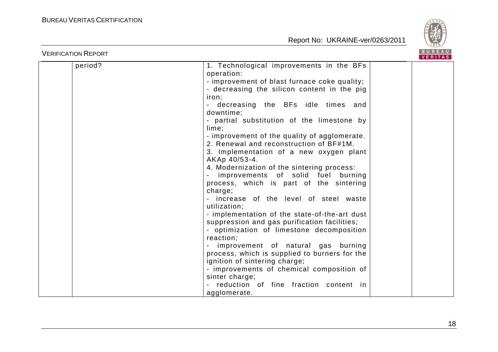

| <b>VERIFICATION REPORT</b> |                                                                                                                                                                                                                                                                                                                                                                                                                                                                                                                                                                                                                                                                                                                                                                                                                                                                                                                                                                                                                                               | BUREAU<br><b>VERITAS</b> |
|----------------------------|-----------------------------------------------------------------------------------------------------------------------------------------------------------------------------------------------------------------------------------------------------------------------------------------------------------------------------------------------------------------------------------------------------------------------------------------------------------------------------------------------------------------------------------------------------------------------------------------------------------------------------------------------------------------------------------------------------------------------------------------------------------------------------------------------------------------------------------------------------------------------------------------------------------------------------------------------------------------------------------------------------------------------------------------------|--------------------------|
| period?                    | 1. Technological improvements in the BFs<br>operation:<br>- improvement of blast furnace coke quality;<br>- decreasing the silicon content in the pig<br>iron;<br>decreasing the BFs idle times and<br>downtime;<br>- partial substitution of the limestone by<br>lime;<br>- improvement of the quality of agglomerate.<br>2. Renewal and reconstruction of BF#1M.<br>3. Implementation of a new oxygen plant<br>AKAp 40/53-4.<br>4. Modernization of the sintering process:<br>improvements of solid fuel burning<br>process, which is part of the sintering<br>charge;<br>- increase of the level of steel waste<br>utilization;<br>- implementation of the state-of-the-art dust<br>suppression and gas purification facilities;<br>- optimization of limestone decomposition<br>reaction;<br>improvement of natural gas burning<br>process, which is supplied to burners for the<br>ignition of sintering charge;<br>- improvements of chemical composition of<br>sinter charge;<br>reduction of fine fraction content in<br>agglomerate. |                          |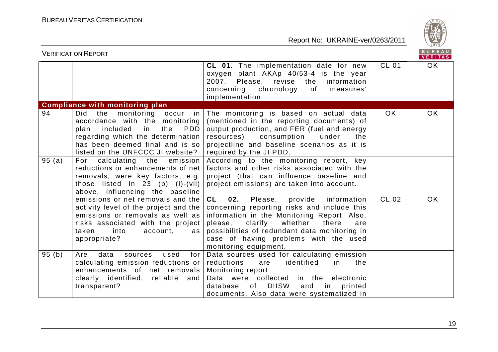

| BUREAU<br><b>VERIFICATION REPORT</b><br><b>VERITAS</b> |                                                                                                                                                                                                                                                            |                                                                                                                                                                                                                                                                                    |              |           |
|--------------------------------------------------------|------------------------------------------------------------------------------------------------------------------------------------------------------------------------------------------------------------------------------------------------------------|------------------------------------------------------------------------------------------------------------------------------------------------------------------------------------------------------------------------------------------------------------------------------------|--------------|-----------|
|                                                        |                                                                                                                                                                                                                                                            | CL 01. The implementation date for new<br>oxygen plant AKAp 40/53-4 is the year<br>2007. Please, revise the<br>information<br>concerning<br>chronology<br>of<br>measures'<br>implementation.                                                                                       | <b>CL 01</b> | OK.       |
|                                                        | <b>Compliance with monitoring plan</b>                                                                                                                                                                                                                     |                                                                                                                                                                                                                                                                                    |              |           |
| 94                                                     | monitoring occur<br>the<br>Did<br>in in<br>accordance with the monitoring<br>in<br>plan<br>included<br>the<br><b>PDD</b><br>regarding which the determination<br>has been deemed final and is so<br>listed on the UNFCCC JI website?                       | The monitoring is based on actual data<br>(mentioned in the reporting documents) of<br>output production, and FER (fuel and energy<br>resources)<br>consumption<br>under<br>the<br>projectline and baseline scenarios as it is<br>required by the JI PDD.                          | OK.          | OK        |
| 95(a)                                                  | For calculating the emission<br>reductions or enhancements of net<br>removals, were key factors, e.g.<br>those listed in 23 (b) (i)-(vii)<br>above, influencing the baseline<br>emissions or net removals and the<br>activity level of the project and the | According to the monitoring report, key<br>factors and other risks associated with the<br>project (that can influence baseline and<br>project emissions) are taken into account.<br><b>CL</b><br>02. Please, provide<br>information<br>concerning reporting risks and include this | CL 02        | <b>OK</b> |
|                                                        | emissions or removals as well as<br>risks associated with the project<br>taken<br>into<br>account,<br>as<br>appropriate?                                                                                                                                   | information in the Monitoring Report. Also,<br>whether<br>please,<br>clarify<br>there<br>are<br>possibilities of redundant data monitoring in<br>case of having problems with the used<br>monitoring equipment.                                                                    |              |           |
| 95(b)                                                  | for<br>data<br>used<br>Are<br>sources<br>calculating emission reductions or<br>enhancements of net removals<br>clearly identified, reliable and<br>transparent?                                                                                            | Data sources used for calculating emission<br>reductions<br>identified<br>the<br>are<br>in<br>Monitoring report.<br>Data were collected in the electronic<br>of DIISW<br>and<br>database<br>in<br>printed<br>documents. Also data were systematized in                             |              |           |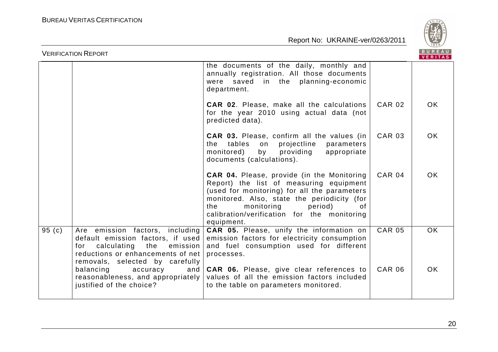



|          | <b>VERIFICATION REPORT</b>                                                                                                                                                         |                                                                                                                                                                                                                                                                                                |               | <b>BUREAU</b><br><b>VERITAS</b> |
|----------|------------------------------------------------------------------------------------------------------------------------------------------------------------------------------------|------------------------------------------------------------------------------------------------------------------------------------------------------------------------------------------------------------------------------------------------------------------------------------------------|---------------|---------------------------------|
|          |                                                                                                                                                                                    | the documents of the daily, monthly and<br>annually registration. All those documents<br>were saved in the planning-economic<br>department.                                                                                                                                                    |               |                                 |
|          |                                                                                                                                                                                    | <b>CAR 02.</b> Please, make all the calculations<br>for the year 2010 using actual data (not<br>predicted data).                                                                                                                                                                               | <b>CAR 02</b> | <b>OK</b>                       |
|          |                                                                                                                                                                                    | <b>CAR 03.</b> Please, confirm all the values (in<br>the tables<br>on projectline<br>parameters<br>monitored)<br>by<br>providing<br>appropriate<br>documents (calculations).                                                                                                                   | <b>CAR 03</b> | <b>OK</b>                       |
|          |                                                                                                                                                                                    | <b>CAR 04.</b> Please, provide (in the Monitoring<br>Report) the list of measuring equipment<br>(used for monitoring) for all the parameters<br>monitored. Also, state the periodicity (for<br>the<br>monitoring<br>period)<br>of<br>calibration/verification for the monitoring<br>equipment. | <b>CAR 04</b> | <b>OK</b>                       |
| 95 $(c)$ | Are emission factors, including<br>default emission factors, if used<br>calculating the<br>emission<br>for<br>reductions or enhancements of net<br>removals, selected by carefully | <b>CAR 05.</b> Please, unify the information on<br>emission factors for electricity consumption<br>and fuel consumption used for different<br>processes.                                                                                                                                       | <b>CAR 05</b> | <b>OK</b>                       |
|          | balancing<br>accuracy<br>and<br>reasonableness, and appropriately<br>justified of the choice?                                                                                      | CAR 06. Please, give clear references to<br>values of all the emission factors included<br>to the table on parameters monitored.                                                                                                                                                               | <b>CAR 06</b> | <b>OK</b>                       |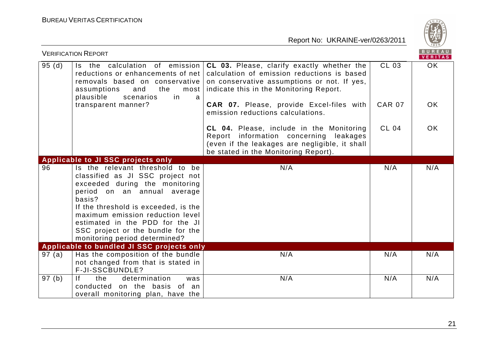

|        | <b>VERIFICATION REPORT</b>                                                                                                                                                                                                                                                                                                          |                                                                                                                                                                                     |               | $\sim$<br>BUREAU<br>VERITAS |
|--------|-------------------------------------------------------------------------------------------------------------------------------------------------------------------------------------------------------------------------------------------------------------------------------------------------------------------------------------|-------------------------------------------------------------------------------------------------------------------------------------------------------------------------------------|---------------|-----------------------------|
| 95(d)  | Is the calculation of emission<br>reductions or enhancements of net<br>removals based on conservative<br>the<br>and<br>assumptions<br>most<br>plausible<br>in<br>scenarios<br>a                                                                                                                                                     | CL 03. Please, clarify exactly whether the<br>calculation of emission reductions is based<br>on conservative assumptions or not. If yes,<br>indicate this in the Monitoring Report. | CL 03         | <b>OK</b>                   |
|        | transparent manner?                                                                                                                                                                                                                                                                                                                 | <b>CAR 07.</b> Please, provide Excel-files with<br>emission reductions calculations.                                                                                                | <b>CAR 07</b> | <b>OK</b>                   |
|        |                                                                                                                                                                                                                                                                                                                                     | CL 04. Please, include in the Monitoring<br>Report information concerning leakages<br>(even if the leakages are negligible, it shall<br>be stated in the Monitoring Report).        | <b>CL 04</b>  | <b>OK</b>                   |
|        | <b>Applicable to JI SSC projects only</b>                                                                                                                                                                                                                                                                                           |                                                                                                                                                                                     |               |                             |
| 96     | Is the relevant threshold to be<br>classified as JI SSC project not<br>exceeded during the monitoring<br>period on an annual average<br>basis?<br>If the threshold is exceeded, is the<br>maximum emission reduction level<br>estimated in the PDD for the JI<br>SSC project or the bundle for the<br>monitoring period determined? | N/A                                                                                                                                                                                 | N/A           | N/A                         |
|        | Applicable to bundled JI SSC projects only                                                                                                                                                                                                                                                                                          |                                                                                                                                                                                     |               |                             |
| 97(a)  | Has the composition of the bundle<br>not changed from that is stated in<br>F-JI-SSCBUNDLE?                                                                                                                                                                                                                                          | N/A                                                                                                                                                                                 | N/A           | N/A                         |
| 97 (b) | determination<br>the<br>lf.<br>was<br>conducted on the basis of an<br>overall monitoring plan, have the                                                                                                                                                                                                                             | N/A                                                                                                                                                                                 | N/A           | N/A                         |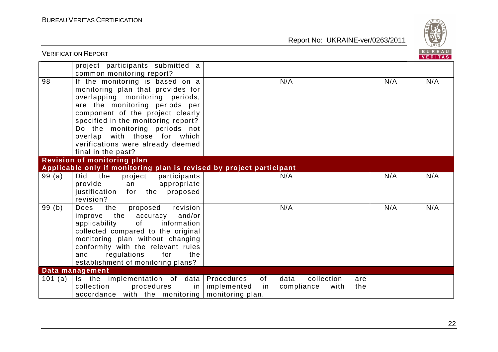

|         | <b>VERIFICATION REPORT</b>                                                                                                                                                                                                                                                                                                                       |                                                                                        |     | <b>BUREAU</b><br>VERITAS |
|---------|--------------------------------------------------------------------------------------------------------------------------------------------------------------------------------------------------------------------------------------------------------------------------------------------------------------------------------------------------|----------------------------------------------------------------------------------------|-----|--------------------------|
|         | project participants submitted a<br>common monitoring report?                                                                                                                                                                                                                                                                                    |                                                                                        |     |                          |
| 98      | If the monitoring is based on a<br>monitoring plan that provides for<br>overlapping monitoring periods,<br>are the monitoring periods per<br>component of the project clearly<br>specified in the monitoring report?<br>Do the monitoring periods not<br>overlap with those for which<br>verifications were already deemed<br>final in the past? | N/A                                                                                    | N/A | N/A                      |
|         | <b>Revision of monitoring plan</b><br>Applicable only if monitoring plan is revised by project participant                                                                                                                                                                                                                                       |                                                                                        |     |                          |
| 99(a)   | Did<br>the<br>project<br>participants<br>provide<br>appropriate<br>an<br>justification<br>the proposed<br>for<br>revision?                                                                                                                                                                                                                       | N/A                                                                                    | N/A | N/A                      |
| 99(b)   | the<br>proposed<br>revision<br>Does<br>and/or<br>improve the<br>accuracy<br>applicability<br>of<br>information<br>collected compared to the original<br>monitoring plan without changing<br>conformity with the relevant rules<br>regulations<br>for<br>and<br>the<br>establishment of monitoring plans?                                         | N/A                                                                                    | N/A | N/A                      |
|         | Data management                                                                                                                                                                                                                                                                                                                                  |                                                                                        |     |                          |
| 101 (a) | Is the implementation of data   Procedures<br>collection<br>procedures<br>$accordance$ with the monitoring monitoring plan.                                                                                                                                                                                                                      | of<br>collection<br>data<br>are<br>in   implemented<br>in<br>compliance<br>the<br>with |     |                          |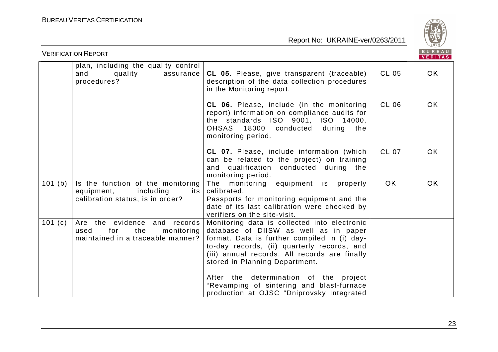

| <b>VERIFICATION REPORT</b> |                                                                                                           |                                                                                                                                                                                                                                                                                                                   |              |           |
|----------------------------|-----------------------------------------------------------------------------------------------------------|-------------------------------------------------------------------------------------------------------------------------------------------------------------------------------------------------------------------------------------------------------------------------------------------------------------------|--------------|-----------|
|                            | plan, including the quality control<br>and<br>quality<br>assurance<br>procedures?                         | CL 05. Please, give transparent (traceable)<br>description of the data collection procedures<br>in the Monitoring report.                                                                                                                                                                                         | CL 05        | OK.       |
|                            |                                                                                                           | CL 06. Please, include (in the monitoring<br>report) information on compliance audits for<br>the standards ISO 9001, ISO 14000,<br>OHSAS 18000 conducted<br>during<br>the<br>monitoring period.                                                                                                                   | CL 06        | <b>OK</b> |
|                            |                                                                                                           | <b>CL 07.</b> Please, include information (which<br>can be related to the project) on training<br>and qualification conducted during the<br>monitoring period.                                                                                                                                                    | <b>CL 07</b> | <b>OK</b> |
| 101(b)                     | Is the function of the monitoring<br>including<br>equipment,<br>its  <br>calibration status, is in order? | The monitoring equipment is<br>properly<br>calibrated.<br>Passports for monitoring equipment and the<br>date of its last calibration were checked by<br>verifiers on the site-visit.                                                                                                                              | <b>OK</b>    | <b>OK</b> |
| 101(c)                     | Are the evidence and records<br>for<br>the<br>monitoring<br>used<br>maintained in a traceable manner?     | Monitoring data is collected into electronic<br>database of DIISW as well as in paper<br>format. Data is further compiled in (i) day-<br>to-day records, (ii) quarterly records, and<br>(iii) annual records. All records are finally<br>stored in Planning Department.<br>After the determination of the project |              |           |
|                            |                                                                                                           | "Revamping of sintering and blast-furnace<br>production at OJSC "Dniprovsky Integrated                                                                                                                                                                                                                            |              |           |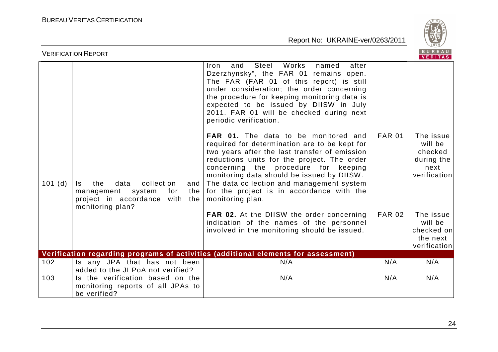

|        | <b>VERIFICATION REPORT</b>                                                                                                          |                                                                                                                                                                                                                                                                                                                                                    |               | BUREAU<br><b>VERITAS</b>                                              |
|--------|-------------------------------------------------------------------------------------------------------------------------------------|----------------------------------------------------------------------------------------------------------------------------------------------------------------------------------------------------------------------------------------------------------------------------------------------------------------------------------------------------|---------------|-----------------------------------------------------------------------|
|        |                                                                                                                                     | Steel<br>Works<br>after<br>and<br>named<br>Iron<br>Dzerzhynsky", the FAR 01 remains open.<br>The FAR (FAR 01 of this report) is still<br>under consideration; the order concerning<br>the procedure for keeping monitoring data is<br>expected to be issued by DIISW in July<br>2011. FAR 01 will be checked during next<br>periodic verification. |               |                                                                       |
|        |                                                                                                                                     | FAR 01. The data to be monitored and<br>required for determination are to be kept for<br>two years after the last transfer of emission<br>reductions units for the project. The order<br>concerning the procedure for keeping<br>monitoring data should be issued by DIISW.                                                                        | <b>FAR 01</b> | The issue<br>will be<br>checked<br>during the<br>next<br>verification |
| 101(d) | collection<br>the<br>data<br>and<br>Is.<br>management<br>system<br>for<br>the<br>project in accordance with the<br>monitoring plan? | The data collection and management system<br>for the project is in accordance with the<br>monitoring plan.                                                                                                                                                                                                                                         |               |                                                                       |
|        |                                                                                                                                     | FAR 02. At the DIISW the order concerning<br>indication of the names of the personnel<br>involved in the monitoring should be issued.                                                                                                                                                                                                              | <b>FAR 02</b> | The issue<br>will be<br>checked on<br>the next<br>verification        |
|        |                                                                                                                                     | Verification regarding programs of activities (additional elements for assessment)                                                                                                                                                                                                                                                                 |               |                                                                       |
| 102    | Is any JPA that has not been<br>added to the JI PoA not verified?                                                                   | N/A                                                                                                                                                                                                                                                                                                                                                | N/A           | N/A                                                                   |
| 103    | Is the verification based on the<br>monitoring reports of all JPAs to<br>be verified?                                               | N/A                                                                                                                                                                                                                                                                                                                                                | N/A           | N/A                                                                   |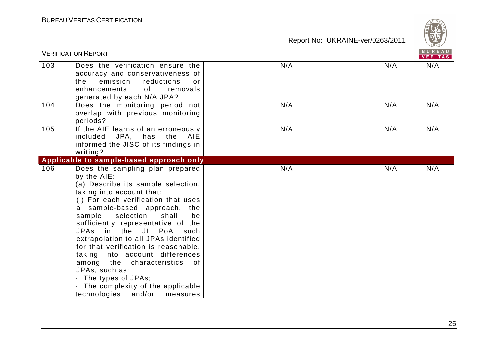

|     | <b>VERIFICATION REPORT</b>                                                                                                                                                                                                                                                                                                                                                                                                                                                                                                                                          |     |     | BUREAU<br>VERITAS |
|-----|---------------------------------------------------------------------------------------------------------------------------------------------------------------------------------------------------------------------------------------------------------------------------------------------------------------------------------------------------------------------------------------------------------------------------------------------------------------------------------------------------------------------------------------------------------------------|-----|-----|-------------------|
| 103 | Does the verification ensure the<br>accuracy and conservativeness of<br>the<br>emission<br>reductions<br>or<br>of<br>enhancements<br>removals<br>generated by each N/A JPA?                                                                                                                                                                                                                                                                                                                                                                                         | N/A | N/A | N/A               |
| 104 | Does the monitoring period not<br>overlap with previous monitoring<br>periods?                                                                                                                                                                                                                                                                                                                                                                                                                                                                                      | N/A | N/A | N/A               |
| 105 | If the AIE learns of an erroneously<br>included<br>JPA, has<br>the<br>AIE<br>informed the JISC of its findings in<br>writing?                                                                                                                                                                                                                                                                                                                                                                                                                                       | N/A | N/A | N/A               |
|     | Applicable to sample-based approach only                                                                                                                                                                                                                                                                                                                                                                                                                                                                                                                            |     |     |                   |
| 106 | Does the sampling plan prepared<br>by the AIE:<br>(a) Describe its sample selection,<br>taking into account that:<br>(i) For each verification that uses<br>a sample-based approach, the<br>sample<br>selection<br>shall<br>be<br>sufficiently representative of the<br>JPAs in the JI PoA such<br>extrapolation to all JPAs identified<br>for that verification is reasonable,<br>taking into account differences<br>among the characteristics of<br>JPAs, such as:<br>- The types of JPAs;<br>The complexity of the applicable<br>technologies and/or<br>measures | N/A | N/A | N/A               |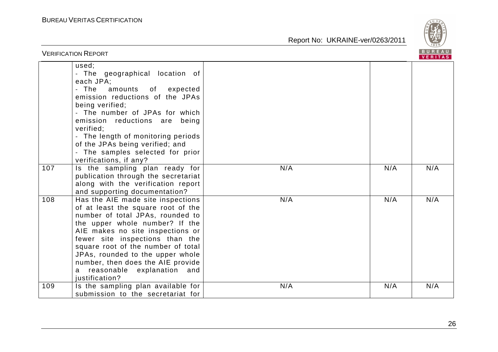

|     | <b>VERIFICATION REPORT</b>                                                                                                                                                                                                                                                                                                                                                               |     |     | BUREAU<br><b>VERITAS</b> |
|-----|------------------------------------------------------------------------------------------------------------------------------------------------------------------------------------------------------------------------------------------------------------------------------------------------------------------------------------------------------------------------------------------|-----|-----|--------------------------|
|     | used;<br>- The geographical location of<br>each JPA;<br>- The<br>amounts of<br>expected<br>emission reductions of the JPAs<br>being verified;<br>- The number of JPAs for which<br>emission reductions are<br>being<br>verified;<br>- The length of monitoring periods<br>of the JPAs being verified; and<br>- The samples selected for prior<br>verifications, if any?                  |     |     |                          |
| 107 | Is the sampling plan ready for<br>publication through the secretariat<br>along with the verification report<br>and supporting documentation?                                                                                                                                                                                                                                             | N/A | N/A | N/A                      |
| 108 | Has the AIE made site inspections<br>of at least the square root of the<br>number of total JPAs, rounded to<br>the upper whole number? If the<br>AIE makes no site inspections or<br>fewer site inspections than the<br>square root of the number of total<br>JPAs, rounded to the upper whole<br>number, then does the AIE provide<br>reasonable explanation and<br>a<br>justification? | N/A | N/A | N/A                      |
| 109 | Is the sampling plan available for<br>submission to the secretariat for                                                                                                                                                                                                                                                                                                                  | N/A | N/A | N/A                      |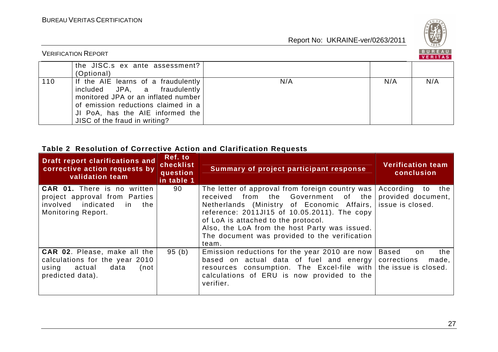

| <b>VERIFICATION REPORT</b> |                                                                                                                                                                                                                        |     |     |     |
|----------------------------|------------------------------------------------------------------------------------------------------------------------------------------------------------------------------------------------------------------------|-----|-----|-----|
|                            | the JISC.s ex ante assessment?<br>(Optional)                                                                                                                                                                           |     |     |     |
| 110                        | If the AIE learns of a fraudulently<br>included JPA, a fraudulently<br>monitored JPA or an inflated number<br>of emission reductions claimed in a<br>JI PoA, has the AIE informed the<br>JISC of the fraud in writing? | N/A | N/A | N/A |

#### **Table 2 Resolution of Corrective Action and Clarification Requests**

| Draft report clarifications and<br>corrective action requests by<br>validation team                                                  | Ref. to<br>checklist<br>question<br>in table 1 | Summary of project participant response                                                                                                                                                                                                                                                                                                                    | <b>Verification team</b><br>conclusion       |
|--------------------------------------------------------------------------------------------------------------------------------------|------------------------------------------------|------------------------------------------------------------------------------------------------------------------------------------------------------------------------------------------------------------------------------------------------------------------------------------------------------------------------------------------------------------|----------------------------------------------|
| <b>CAR 01.</b> There is no written<br>project approval from Parties<br>involved indicated<br>the<br>in.<br><b>Monitoring Report.</b> | 90                                             | The letter of approval from foreign country was<br>from the Government of the<br>received<br>Netherlands (Ministry of Economic Affairs, issue is closed.<br>reference: 2011JI15 of 10.05.2011). The copy<br>of LoA is attached to the protocol.<br>Also, the LoA from the host Party was issued.<br>The document was provided to the verification<br>team. | According<br>the<br>to<br>provided document, |
| <b>CAR 02.</b> Please, make all the<br>calculations for the year 2010<br>data<br>actual<br>using<br>(not<br>predicted data).         | 95(b)                                          | Emission reductions for the year 2010 are now<br>based on actual data of fuel and energy<br>resources consumption. The Excel-file with   the issue is closed.<br>calculations of ERU is now provided to the<br>verifier.                                                                                                                                   | the<br>Based<br>on.<br>corrections<br>made,  |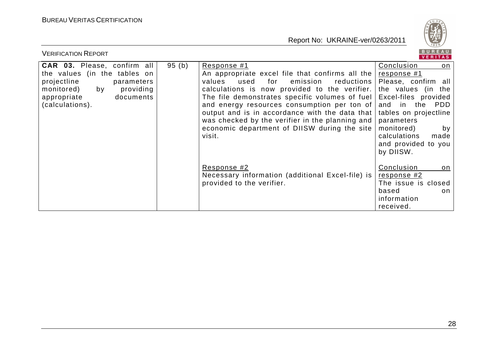

| <b>VERIFICATION REPORT</b>                                                                                                                                                      |       |                                                                                                                                                                                                                                                                                                                                                                                                                                      | BUREAU<br>VERITAS                                                                                                                                                                                                                                          |
|---------------------------------------------------------------------------------------------------------------------------------------------------------------------------------|-------|--------------------------------------------------------------------------------------------------------------------------------------------------------------------------------------------------------------------------------------------------------------------------------------------------------------------------------------------------------------------------------------------------------------------------------------|------------------------------------------------------------------------------------------------------------------------------------------------------------------------------------------------------------------------------------------------------------|
| <b>CAR 03.</b> Please, confirm all<br>the values (in the tables on<br>projectline<br>parameters<br>monitored)<br>by<br>providing<br>documents<br>appropriate<br>(calculations). | 95(b) | Response #1<br>An appropriate excel file that confirms all the<br>for<br>reductions  <br>used<br>emission<br>values<br>calculations is now provided to the verifier.<br>The file demonstrates specific volumes of fuel<br>and energy resources consumption per ton of<br>output and is in accordance with the data that<br>was checked by the verifier in the planning and<br>economic department of DIISW during the site<br>visit. | Conclusion<br>on<br><u>response</u> #1<br>Please, confirm all<br>the values (in the<br>Excel-files provided<br>and<br>in the<br>PDD<br>tables on projectline<br>parameters<br>monitored)<br>by<br>calculations<br>made<br>and provided to you<br>by DIISW. |
|                                                                                                                                                                                 |       | Response #2<br>Necessary information (additional Excel-file) is<br>provided to the verifier.                                                                                                                                                                                                                                                                                                                                         | Conclusion<br>on<br>response #2<br>The issue is closed<br>based<br>on<br>information<br>received.                                                                                                                                                          |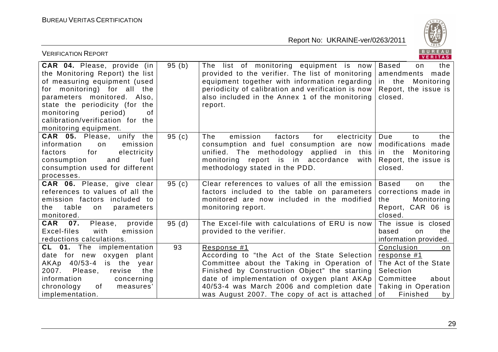

| <b>VERIFICATION REPORT</b>                                                                                                                                                                                                                                                                 |          |                                                                                                                                                                                                                                                                                                         | BUREAU<br>VERITAS                                                                                                                         |
|--------------------------------------------------------------------------------------------------------------------------------------------------------------------------------------------------------------------------------------------------------------------------------------------|----------|---------------------------------------------------------------------------------------------------------------------------------------------------------------------------------------------------------------------------------------------------------------------------------------------------------|-------------------------------------------------------------------------------------------------------------------------------------------|
| CAR 04. Please, provide (in<br>the Monitoring Report) the list<br>of measuring equipment (used<br>for monitoring) for all the<br>parameters monitored. Also,<br>state the periodicity (for the<br>monitoring<br>period)<br>οf<br>calibration/verification for the<br>monitoring equipment. | 95(b)    | The list of monitoring equipment is now<br>provided to the verifier. The list of monitoring<br>equipment together with information regarding<br>periodicity of calibration and verification is now<br>also included in the Annex 1 of the monitoring<br>report.                                         | <b>Based</b><br>the<br>on<br>amendments<br>made<br>in the<br>Monitoring<br>Report, the issue is<br>closed.                                |
| <b>CAR 05.</b> Please, unify the<br>information<br>emission<br>on<br>for<br>electricity<br>factors<br>consumption<br>and<br>fuel<br>consumption used for different<br>processes.                                                                                                           | 95(c)    | The<br>emission<br>factors<br>for<br>electricity<br>consumption and fuel consumption are now<br>unified. The methodology applied in<br>this<br>monitoring report is in accordance<br>with<br>methodology stated in the PDD.                                                                             | Due<br>to<br>the<br>modifications made<br>in the<br>Monitoring<br>Report, the issue is<br>closed.                                         |
| CAR 06. Please, give clear<br>references to values of all the<br>emission factors included to<br>table<br>the<br>on<br>parameters<br>monitored.                                                                                                                                            | 95 $(c)$ | Clear references to values of all the emission<br>factors included to the table on parameters<br>monitored are now included in the modified<br>monitoring report.                                                                                                                                       | <b>Based</b><br>the<br>on<br>corrections made in<br>the<br>Monitoring<br>Report, CAR 06 is<br>closed.                                     |
| <b>CAR</b><br>07.<br>Please,<br>provide<br>Excel-files<br>with<br>emission<br>reductions calculations.                                                                                                                                                                                     | 95(d)    | The Excel-file with calculations of ERU is now<br>provided to the verifier.                                                                                                                                                                                                                             | The issue is closed<br>the<br>based<br>on<br>information provided.                                                                        |
| CL 01. The implementation<br>date for new oxygen plant<br>AKAp 40/53-4 is the<br>year<br>2007.<br>Please,<br>revise<br>the<br>information<br>concerning<br>chronology<br>of<br>measures'<br>implementation.                                                                                | 93       | Response #1<br>According to "the Act of the State Selection<br>Committee about the Taking in Operation of<br>Finished by Construction Object" the starting<br>date of implementation of oxygen plant AKAp<br>40/53-4 was March 2006 and completion date<br>was August 2007. The copy of act is attached | Conclusion<br>on<br>response #1<br>The Act of the State<br>Selection<br>Committee<br>about<br>Taking in Operation<br>0f<br>Finished<br>by |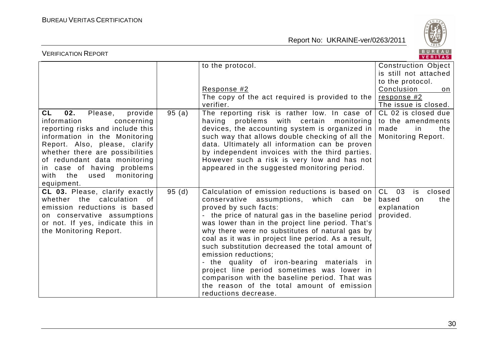

| <b>VERIFICATION REPORT</b>                                                                                                                                                                                                                                                                                          |       |                                                                                                                                                                                                                                                                                                                                                                                                                                                                                                                                                                                                                                        |                                                                                                       |  |
|---------------------------------------------------------------------------------------------------------------------------------------------------------------------------------------------------------------------------------------------------------------------------------------------------------------------|-------|----------------------------------------------------------------------------------------------------------------------------------------------------------------------------------------------------------------------------------------------------------------------------------------------------------------------------------------------------------------------------------------------------------------------------------------------------------------------------------------------------------------------------------------------------------------------------------------------------------------------------------------|-------------------------------------------------------------------------------------------------------|--|
|                                                                                                                                                                                                                                                                                                                     |       | to the protocol.<br>Response #2                                                                                                                                                                                                                                                                                                                                                                                                                                                                                                                                                                                                        | Construction Object<br>is still not attached<br>to the protocol.<br>Conclusion<br>on                  |  |
|                                                                                                                                                                                                                                                                                                                     |       | The copy of the act required is provided to the<br>verifier.                                                                                                                                                                                                                                                                                                                                                                                                                                                                                                                                                                           | response #2<br>The issue is closed.                                                                   |  |
| 02.<br>CL<br>Please,<br>provide<br>information<br>concerning<br>reporting risks and include this<br>information in the Monitoring<br>Report. Also, please, clarify<br>whether there are possibilities<br>of redundant data monitoring<br>in case of having problems<br>with the<br>monitoring<br>used<br>equipment. | 95(a) | The reporting risk is rather low. In case of<br>having problems with certain<br>monitoring<br>devices, the accounting system is organized in<br>such way that allows double checking of all the<br>data. Ultimately all information can be proven<br>by independent invoices with the third parties.<br>However such a risk is very low and has not<br>appeared in the suggested monitoring period.                                                                                                                                                                                                                                    | CL 02 is closed due<br>to the amendments<br>made<br>the<br><sub>in</sub><br><b>Monitoring Report.</b> |  |
| CL 03. Please, clarify exactly<br>whether the calculation<br>of<br>emission reductions is based<br>on conservative assumptions<br>or not. If yes, indicate this in<br>the Monitoring Report.                                                                                                                        | 95(d) | Calculation of emission reductions is based on<br>conservative assumptions, which can<br>be<br>proved by such facts:<br>- the price of natural gas in the baseline period<br>was lower than in the project line period. That's<br>why there were no substitutes of natural gas by<br>coal as it was in project line period. As a result,<br>such substitution decreased the total amount of<br>emission reductions;<br>- the quality of iron-bearing materials in<br>project line period sometimes was lower in<br>comparison with the baseline period. That was<br>the reason of the total amount of emission<br>reductions decrease. | $CL$ 03<br>closed<br>is<br>based<br>the<br>on<br>explanation<br>provided.                             |  |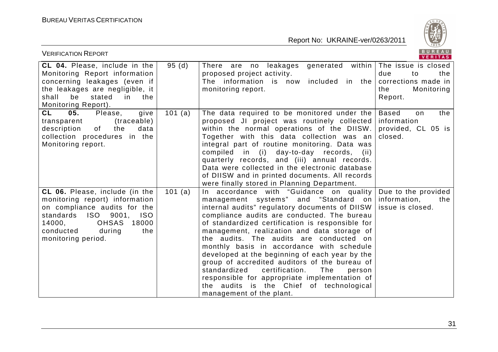

| <b>VERIFICATION REPORT</b>                                                                                                                                                                                                                |         |                                                                                                                                                                                                                                                                                                                                                                                                                                                                                                                                                                                                                                                              | BUREAU<br>VERITAS                                                                              |
|-------------------------------------------------------------------------------------------------------------------------------------------------------------------------------------------------------------------------------------------|---------|--------------------------------------------------------------------------------------------------------------------------------------------------------------------------------------------------------------------------------------------------------------------------------------------------------------------------------------------------------------------------------------------------------------------------------------------------------------------------------------------------------------------------------------------------------------------------------------------------------------------------------------------------------------|------------------------------------------------------------------------------------------------|
| CL 04. Please, include in the<br>Monitoring Report information<br>concerning leakages (even if<br>the leakages are negligible, it<br>stated<br>shall<br>be<br>the<br>in.<br>Monitoring Report).                                           | 95(d)   | generated within<br>There are no leakages<br>proposed project activity.<br>The information is now<br>included in the<br>monitoring report.                                                                                                                                                                                                                                                                                                                                                                                                                                                                                                                   | The issue is closed<br>due<br>the<br>to<br>corrections made in<br>Monitoring<br>the<br>Report. |
| <b>CL</b><br>05.<br>Please,<br>give<br>(traceable)<br>transparent<br>description<br>of<br>the<br>data<br>collection procedures in the<br>Monitoring report.                                                                               | 101 (a) | The data required to be monitored under the<br>proposed JI project was routinely collected information<br>within the normal operations of the DIISW.<br>Together with this data collection was an<br>integral part of routine monitoring. Data was<br>compiled in (i) day-to-day records, (ii)<br>quarterly records, and (iii) annual records.<br>Data were collected in the electronic database<br>of DIISW and in printed documents. All records<br>were finally stored in Planning Department.                                                                                                                                                            | the<br><b>Based</b><br>on<br>provided, CL 05 is<br>closed.                                     |
| CL 06. Please, include (in the<br>monitoring report) information<br>on compliance audits for the<br>9001,<br><b>ISO</b><br><b>ISO</b><br>standards<br>14000,<br><b>OHSAS</b><br>18000<br>conducted<br>the<br>during<br>monitoring period. | 101 (a) | In accordance with "Guidance on quality<br>management systems" and "Standard on<br>internal audits" regulatory documents of DIISW  <br>compliance audits are conducted. The bureau<br>of standardized certification is responsible for<br>management, realization and data storage of<br>the audits. The audits are conducted on<br>monthly basis in accordance with schedule<br>developed at the beginning of each year by the<br>group of accredited auditors of the bureau of<br>certification.<br>The<br>standardized<br>person<br>responsible for appropriate implementation of<br>the audits is the Chief of technological<br>management of the plant. | Due to the provided<br>information,<br>the<br>issue is closed.                                 |